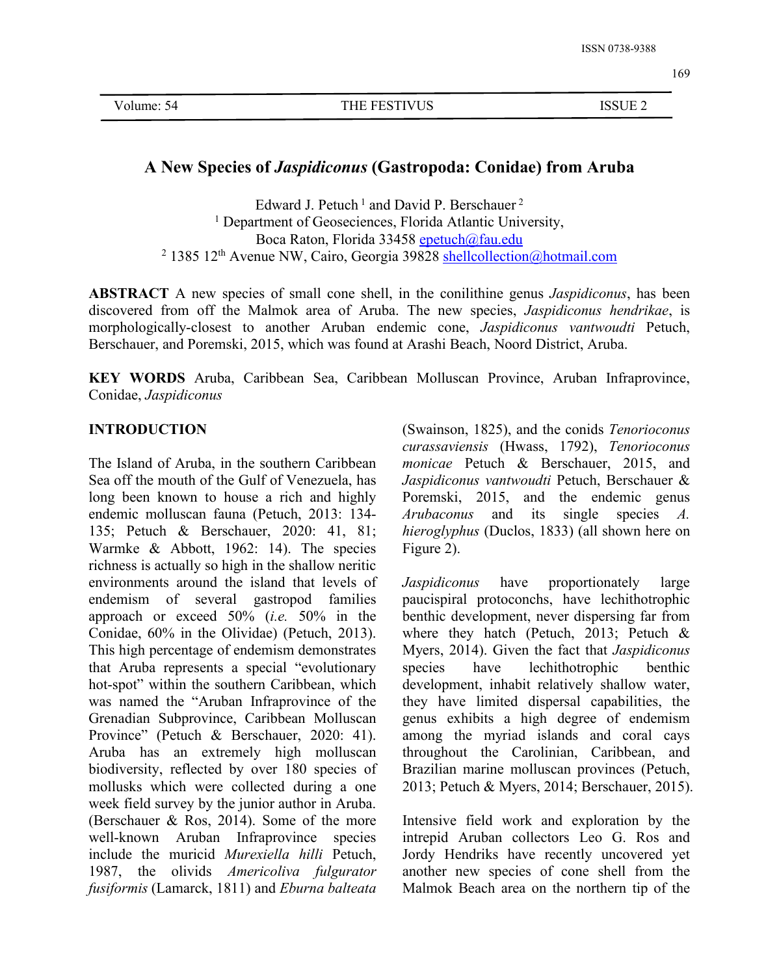# **A New Species of***Jaspidiconus* **(Gastropoda: Conidae) from Aruba**

Edward J. Petuch<sup>1</sup> and David P. Berschauer<sup>2</sup> 2 <sup>1</sup> Department of Geoseciences, Florida Atlantic University, Boca Raton, Florida 33458 [epetuch@fau.edu](mailto:epetuch@fau.edu) <sup>2</sup> 1385 12<sup>th</sup> Avenue NW, Cairo, Georgia 39828 **[shellcollection@hotmail.com](mailto:shellcollection@hotmail.com)** 

**ABSTRACT** A new species of small cone shell, in the conilithine genus *Jaspidiconus*, has been discovered from off the Malmok area of Aruba. The new species, *Jaspidiconus hendrikae*, is morphologically-closest to another Aruban endemic cone, *Jaspidiconus vantwoudti* Petuch, Berschauer, and Poremski, 2015, which was found at Arashi Beach, Noord District, Aruba.

**KEY WORDS** Aruba, Caribbean Sea, Caribbean Molluscan Province, Aruban Infraprovince, Conidae, *Jaspidiconus*

## **INTRODUCTION**

The Island of Aruba, in the southern Caribbean Sea off the mouth of the Gulf of Venezuela, has long been known to house a rich and highly endemic molluscan fauna (Petuch, 2013: 134- 135; Petuch & Berschauer, 2020: 41, 81; Warmke & Abbott, 1962: 14). The species richness is actually so high in the shallow neritic environments around the island that levels of Jaspidiconus endemism of several gastropod families approach or exceed 50% (*i.e.* 50% in the Conidae, 60% in the Olividae) (Petuch, 2013). This high percentage of endemism demonstrates that Aruba represents a special "evolutionary hot-spot" within the southern Caribbean, which was named the "Aruban Infraprovince of the Grenadian Subprovince, Caribbean Molluscan Province" (Petuch & Berschauer, 2020: 41). Aruba has an extremely high molluscan biodiversity, reflected by over 180 species of mollusks which were collected during a one week field survey by the junior author in Aruba. (Berschauer & Ros, 2014). Some of the more well-known Aruban Infraprovince species include the muricid *Murexiella hilli* Petuch, 1987, the olivids *Americoliva fulgurator fusiformis* (Lamarck, 1811) and *Eburna balteata*

(Swainson, 1825), and the conids *Tenorioconus curassaviensis* (Hwass, 1792), *Tenorioconus monicae* Petuch & Berschauer, 2015, and *Jaspidiconus vantwoudti* Petuch, Berschauer & Poremski, 2015, and the endemic genus and its single species *A*. *hieroglyphus* (Duclos, 1833) (all shown here on Figure 2).

have proportionately large paucispiral protoconchs, have lechithotrophic benthic development, never dispersing far from where they hatch (Petuch, 2013; Petuch & Myers, 2014). Given the fact that *Jaspidiconus* lechithotrophic benthic development, inhabit relatively shallow water, they have limited dispersal capabilities, the genus exhibits a high degree of endemism among the myriad islands and coral cays throughout the Carolinian, Caribbean, and Brazilian marine molluscan provinces (Petuch, 2013; Petuch & Myers, 2014; Berschauer, 2015).

Intensive field work and exploration by the intrepid Aruban collectors Leo G. Ros and Jordy Hendriks have recently uncovered yet another new species of cone shell from the Malmok Beach area on the northern tip of the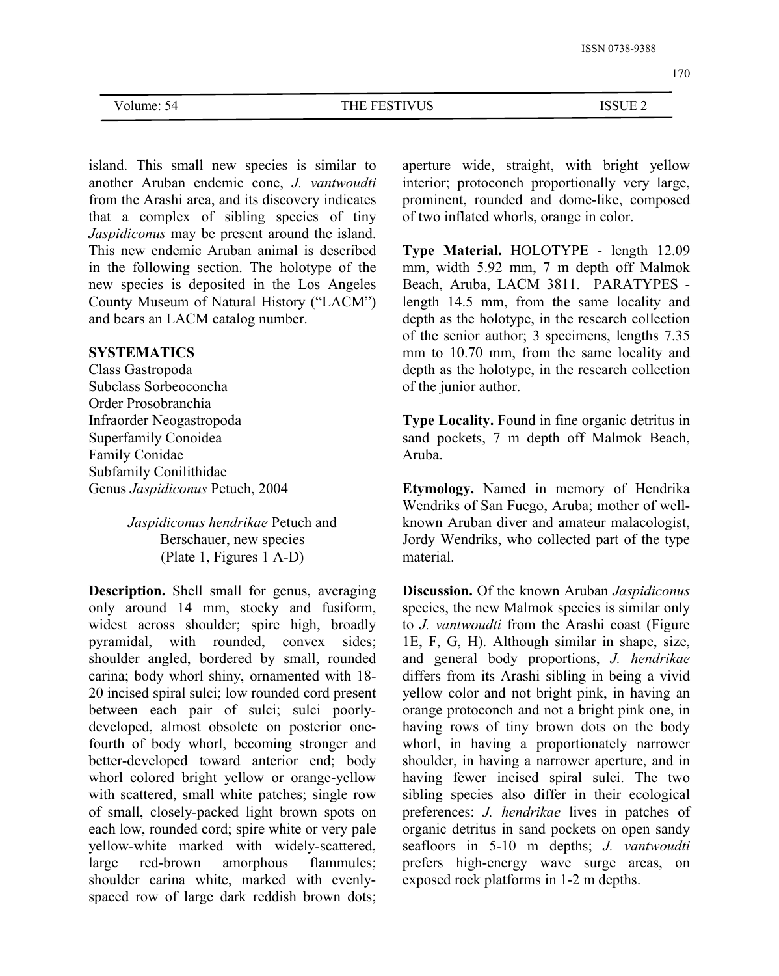170

| Volume.<br>74<br>$\overline{\phantom{a}}$ | - -- - -<br>--<br>™W∎.<br>НF<br>∼⊨<br>◡◡ | $\sim$ $\sim$ $\sim$ $\sim$<br> |  |
|-------------------------------------------|------------------------------------------|---------------------------------|--|
|                                           |                                          |                                 |  |

island. This small new species is similar to another Aruban endemic cone, *J. vantwoudti* from the Arashi area, and its discovery indicates that a complex of sibling species of tiny *Jaspidiconus* may be present around the island. This new endemic Aruban animal is described in the following section. The holotype of the new species is deposited in the Los Angeles County Museum of Natural History ("LACM") and bears an LACM catalog number.

### **SYSTEMATICS**

Class Gastropoda Subclass Sorbeoconcha Order Prosobranchia Infraorder Neogastropoda Superfamily Conoidea Family Conidae Subfamily Conilithidae Genus *Jaspidiconus* Petuch, 2004

> *Jaspidiconus hendrikae* Petuch and Berschauer, new species (Plate 1, Figures 1 A-D)

**Description.** Shell small for genus, averaging only around 14 mm, stocky and fusiform, widest across shoulder; spire high, broadly pyramidal, with rounded, convex sides; shoulder angled, bordered by small, rounded carina; body whorl shiny, ornamented with 18- 20 incised spiral sulci; low rounded cord present between each pair of sulci; sulci poorly developed, almost obsolete on posterior onefourth of body whorl, becoming stronger and better-developed toward anterior end; body whorl colored bright yellow or orange-yellow with scattered, small white patches; single row of small, closely-packed light brown spots on each low, rounded cord; spire white or very pale yellow-white marked with widely-scattered, large red-brown amorphous flammules; shoulder carina white, marked with evenly spaced row of large dark reddish brown dots;

aperture wide, straight, with bright yellow interior; protoconch proportionally very large, prominent, rounded and dome-like, composed of two inflated whorls, orange in color.

**Type Material.** HOLOTYPE - length 12.09 mm, width 5.92 mm, 7 m depth off Malmok Beach, Aruba, LACM 3811. PARATYPES length 14.5 mm, from the same locality and depth as the holotype, in the research collection of the senior author; 3 specimens, lengths 7.35 mm to 10.70 mm, from the same locality and depth as the holotype, in the research collection of the junior author.

**Type Locality.** Found in fine organic detritus in sand pockets, 7 m depth off Malmok Beach, Aruba.

**Etymology.** Named in memory of Hendrika Wendriks of San Fuego, Aruba; mother of well known Aruban diver and amateur malacologist, Jordy Wendriks, who collected part of the type material.

**Discussion.** Of the known Aruban *Jaspidiconus* species, the new Malmok species is similar only to *J. vantwoudti* from the Arashi coast (Figure 1E, F, G, H). Although similar in shape, size, and general body proportions, *J. hendrikae* differs from its Arashi sibling in being a vivid yellow color and not bright pink, in having an orange protoconch and not a bright pink one, in having rows of tiny brown dots on the body whorl, in having a proportionately narrower shoulder, in having a narrower aperture, and in having fewer incised spiral sulci. The two sibling species also differ in their ecological preferences: *J. hendrikae* lives in patches of organic detritus in sand pockets on open sandy seafloors in 5-10 m depths; *J. vantwoudti* prefers high-energy wave surge areas, on exposed rock platforms in 1-2 m depths.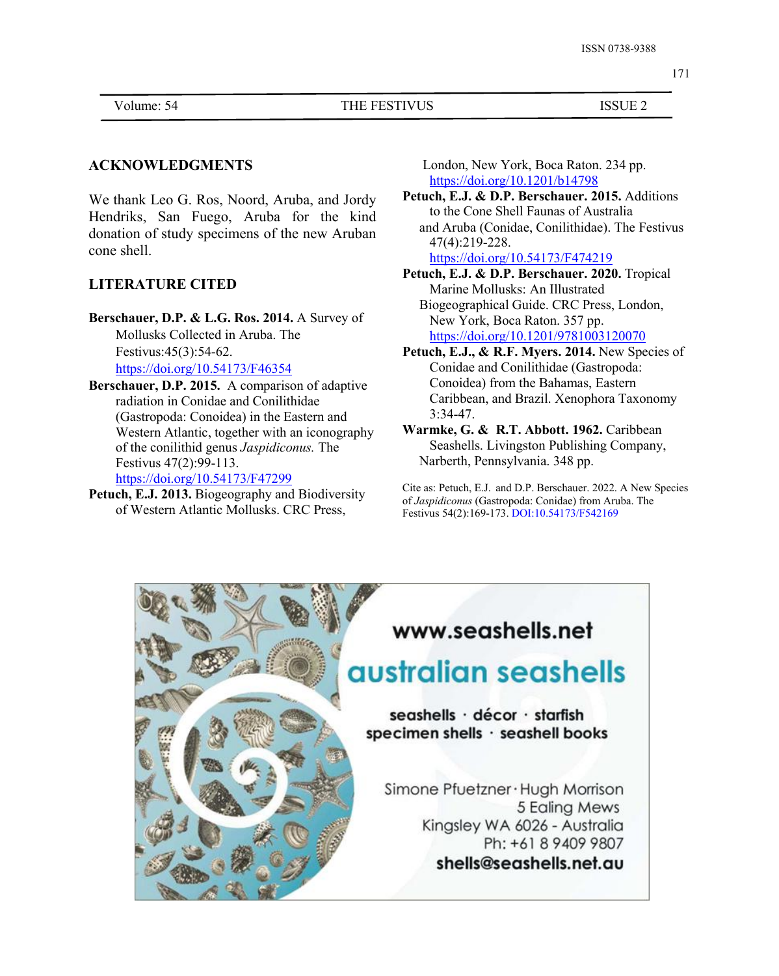#### Volume: 54 THE FESTIVUS ISSUE 2

### **ACKNOWLEDGMENTS**

We thank Leo G. Ros, Noord, Aruba, and Jordy Hendriks, San Fuego, Aruba for the kind donation of study specimens of the new Aruban cone shell.

# **LITERATURE CITED**

- **Berschauer, D.P. & L.G. Ros. 2014.** A Survey of Mollusks Collected in Aruba. The Festivus:45(3):54-62. <https://doi.org/10.54173/F46354>
- **Berschauer, D.P. 2015.** A comparison of adaptive radiation in Conidae and Conilithidae (Gastropoda: Conoidea) in the Eastern and Western Atlantic, together with an iconography of the conilithid genus *Jaspidiconus.* The Festivus 47(2):99-113. <https://doi.org/10.54173/F47299>
- **Petuch, E.J. 2013.** Biogeography and Biodiversity of Western Atlantic Mollusks. CRC Press,

London, New York, Boca Raton. 234 pp. <https://doi.org/10.1201/b14798>

**Petuch, E.J. & D.P. Berschauer. 2015.** Additions to the Cone Shell Faunas of Australia and Aruba (Conidae, Conilithidae). The Festivus 47(4):219-228.

<https://doi.org/10.54173/F474219>

- **Petuch, E.J. & D.P. Berschauer. 2020.** Tropical Marine Mollusks: An Illustrated Biogeographical Guide. CRC Press, London, New York, Boca Raton. 357 pp. <https://doi.org/10.1201/9781003120070>
- **Petuch, E.J., & R.F. Myers. 2014.** New Species of Conidae and Conilithidae (Gastropoda: Conoidea) from the Bahamas, Eastern Caribbean, and Brazil. Xenophora Taxonomy 3:34-47.
- **Warmke, G. & R.T. Abbott. 1962.** Caribbean Seashells. Livingston Publishing Company, Narberth, Pennsylvania. 348 pp.

Cite as: Petuch, E.J. and D.P. Berschauer. 2022. A New Species of *Jaspidiconus* (Gastropoda: Conidae) from Aruba. The Festivus 54(2):169-173. DOI:10.54173/F542169

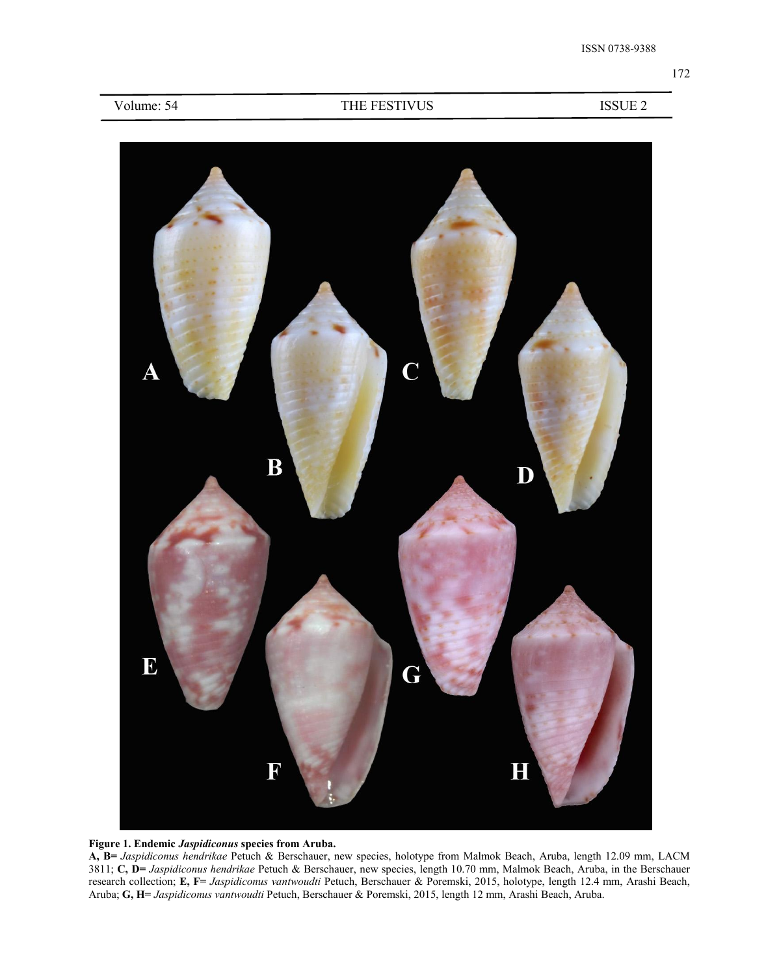### Volume: 54 THE FESTIVUS ISSUE 2





**A, B=** *Jaspidiconus hendrikae* Petuch & Berschauer, new species, holotype from Malmok Beach, Aruba, length 12.09 mm,LACM 3811; **C, D=** *Jaspidiconus hendrikae* Petuch & Berschauer, new species, length 10.70 mm, Malmok Beach, Aruba, in the Berschauer research collection; **E, F=** *Jaspidiconus vantwoudti* Petuch, Berschauer & Poremski, 2015, holotype, length 12.4 mm, Arashi Beach, Aruba; **G, H=** *Jaspidiconus vantwoudti* Petuch, Berschauer & Poremski, 2015, length 12 mm, Arashi Beach, Aruba.